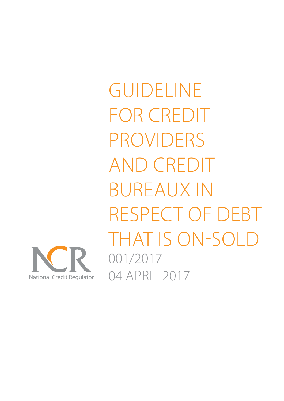

GUIDELINE FOR CREDIT PROVIDERS AND CREDIT BUREAUX IN RESPECT OF DEBT THAT IS ON-SOLD 001/2017 04 APRIL 2017